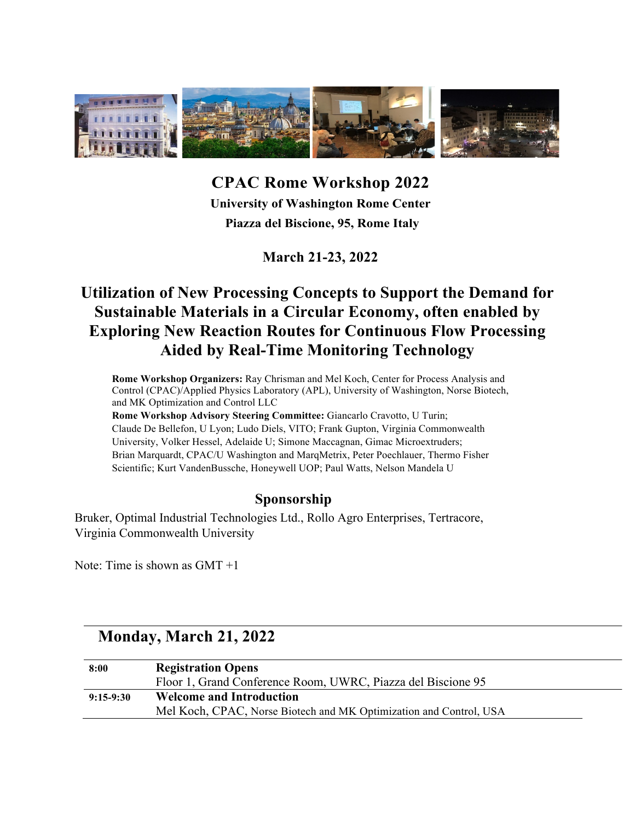

**CPAC Rome Workshop 2022 University of Washington Rome Center Piazza del Biscione, 95, Rome Italy**

**March 21-23, 2022**

### **Utilization of New Processing Concepts to Support the Demand for Sustainable Materials in a Circular Economy, often enabled by Exploring New Reaction Routes for Continuous Flow Processing Aided by Real-Time Monitoring Technology**

**Rome Workshop Organizers:** Ray Chrisman and Mel Koch, Center for Process Analysis and Control (CPAC)/Applied Physics Laboratory (APL), University of Washington, Norse Biotech, and MK Optimization and Control LLC

**Rome Workshop Advisory Steering Committee:** Giancarlo Cravotto, U Turin; Claude De Bellefon, U Lyon; Ludo Diels, VITO; Frank Gupton, Virginia Commonwealth University, Volker Hessel, Adelaide U; Simone Maccagnan, Gimac Microextruders; Brian Marquardt, CPAC/U Washington and MarqMetrix, Peter Poechlauer, Thermo Fisher Scientific; Kurt VandenBussche, Honeywell UOP; Paul Watts, Nelson Mandela U

#### **Sponsorship**

Bruker, Optimal Industrial Technologies Ltd., Rollo Agro Enterprises, Tertracore, Virginia Commonwealth University

Note: Time is shown as GMT +1

### **Monday, March 21, 2022**

| 8:00        | <b>Registration Opens</b>                                          |
|-------------|--------------------------------------------------------------------|
|             | Floor 1, Grand Conference Room, UWRC, Piazza del Biscione 95       |
| $9:15-9:30$ | <b>Welcome and Introduction</b>                                    |
|             | Mel Koch, CPAC, Norse Biotech and MK Optimization and Control, USA |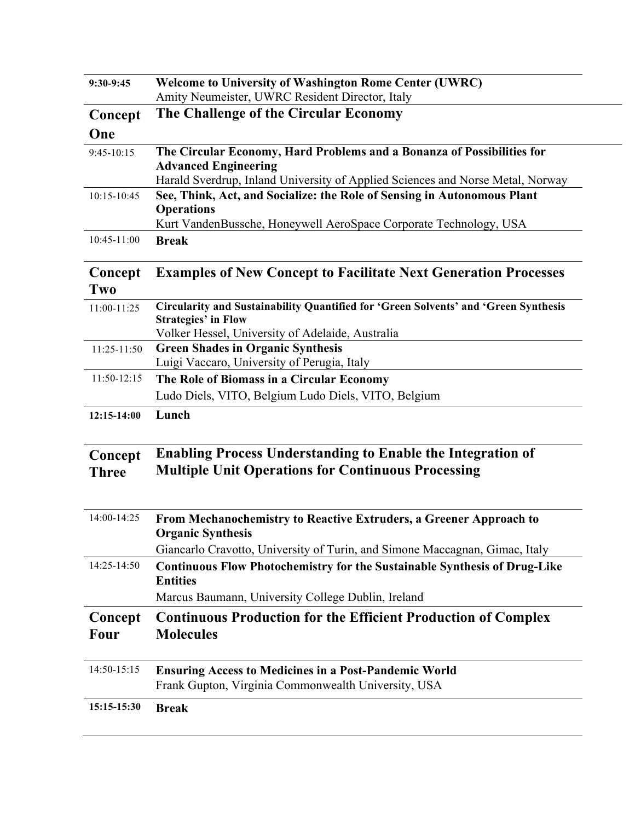| 9:30-9:45              | <b>Welcome to University of Washington Rome Center (UWRC)</b>                                                       |
|------------------------|---------------------------------------------------------------------------------------------------------------------|
|                        | Amity Neumeister, UWRC Resident Director, Italy                                                                     |
| Concept                | The Challenge of the Circular Economy                                                                               |
| One                    |                                                                                                                     |
| $9:45-10:15$           | The Circular Economy, Hard Problems and a Bonanza of Possibilities for                                              |
|                        | <b>Advanced Engineering</b>                                                                                         |
|                        | Harald Sverdrup, Inland University of Applied Sciences and Norse Metal, Norway                                      |
| 10:15-10:45            | See, Think, Act, and Socialize: the Role of Sensing in Autonomous Plant<br><b>Operations</b>                        |
|                        | Kurt VandenBussche, Honeywell AeroSpace Corporate Technology, USA                                                   |
| 10:45-11:00            | <b>Break</b>                                                                                                        |
| Concept<br>Two         | <b>Examples of New Concept to Facilitate Next Generation Processes</b>                                              |
| 11:00-11:25            | Circularity and Sustainability Quantified for 'Green Solvents' and 'Green Synthesis<br><b>Strategies' in Flow</b>   |
|                        | Volker Hessel, University of Adelaide, Australia                                                                    |
| 11:25-11:50            | <b>Green Shades in Organic Synthesis</b><br>Luigi Vaccaro, University of Perugia, Italy                             |
| 11:50-12:15            | The Role of Biomass in a Circular Economy                                                                           |
|                        | Ludo Diels, VITO, Belgium Ludo Diels, VITO, Belgium                                                                 |
| 12:15-14:00            | Lunch                                                                                                               |
| Concept                | <b>Enabling Process Understanding to Enable the Integration of</b>                                                  |
| <b>Three</b>           | <b>Multiple Unit Operations for Continuous Processing</b>                                                           |
|                        |                                                                                                                     |
| 14:00-14:25            | From Mechanochemistry to Reactive Extruders, a Greener Approach to<br><b>Organic Synthesis</b>                      |
|                        | Giancarlo Cravotto, University of Turin, and Simone Maccagnan, Gimac, Italy                                         |
| 14:25-14:50            | <b>Continuous Flow Photochemistry for the Sustainable Synthesis of Drug-Like</b><br><b>Entities</b>                 |
|                        | Marcus Baumann, University College Dublin, Ireland                                                                  |
| Concept<br><b>Four</b> | <b>Continuous Production for the Efficient Production of Complex</b><br><b>Molecules</b>                            |
| 14:50-15:15            | <b>Ensuring Access to Medicines in a Post-Pandemic World</b><br>Frank Gupton, Virginia Commonwealth University, USA |
| 15:15-15:30            | <b>Break</b>                                                                                                        |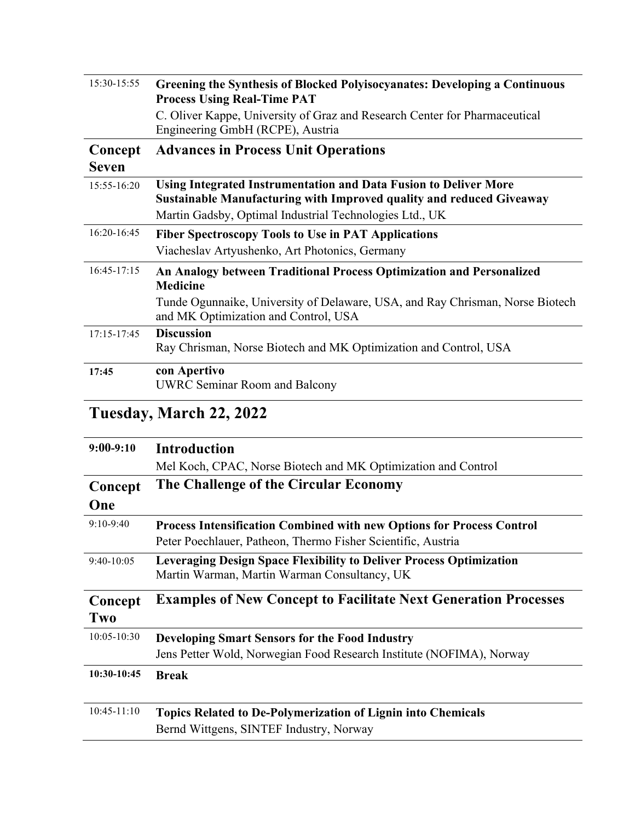| 15:30-15:55             | <b>Greening the Synthesis of Blocked Polyisocyanates: Developing a Continuous</b><br><b>Process Using Real-Time PAT</b>                                                                                          |
|-------------------------|------------------------------------------------------------------------------------------------------------------------------------------------------------------------------------------------------------------|
|                         | C. Oliver Kappe, University of Graz and Research Center for Pharmaceutical<br>Engineering GmbH (RCPE), Austria                                                                                                   |
| Concept<br><b>Seven</b> | <b>Advances in Process Unit Operations</b>                                                                                                                                                                       |
| 15:55-16:20             | Using Integrated Instrumentation and Data Fusion to Deliver More<br><b>Sustainable Manufacturing with Improved quality and reduced Giveaway</b><br>Martin Gadsby, Optimal Industrial Technologies Ltd., UK       |
| $16:20-16:45$           | <b>Fiber Spectroscopy Tools to Use in PAT Applications</b><br>Viacheslav Artyushenko, Art Photonics, Germany                                                                                                     |
| 16:45-17:15             | An Analogy between Traditional Process Optimization and Personalized<br><b>Medicine</b><br>Tunde Ogunnaike, University of Delaware, USA, and Ray Chrisman, Norse Biotech<br>and MK Optimization and Control, USA |
| 17:15-17:45             | <b>Discussion</b><br>Ray Chrisman, Norse Biotech and MK Optimization and Control, USA                                                                                                                            |
| 17:45                   | con Apertivo<br><b>UWRC Seminar Room and Balcony</b>                                                                                                                                                             |

## **Tuesday, March 22, 2022**

| $9:00-9:10$     | <b>Introduction</b>                                                                                                        |
|-----------------|----------------------------------------------------------------------------------------------------------------------------|
|                 | Mel Koch, CPAC, Norse Biotech and MK Optimization and Control                                                              |
| Concept         | The Challenge of the Circular Economy                                                                                      |
| One             |                                                                                                                            |
| $9:10-9:40$     | <b>Process Intensification Combined with new Options for Process Control</b>                                               |
|                 | Peter Poechlauer, Patheon, Thermo Fisher Scientific, Austria                                                               |
| $9:40-10:05$    | <b>Leveraging Design Space Flexibility to Deliver Process Optimization</b><br>Martin Warman, Martin Warman Consultancy, UK |
| Concept         | <b>Examples of New Concept to Facilitate Next Generation Processes</b>                                                     |
| Two             |                                                                                                                            |
| $10:05 - 10:30$ | <b>Developing Smart Sensors for the Food Industry</b>                                                                      |
|                 | Jens Petter Wold, Norwegian Food Research Institute (NOFIMA), Norway                                                       |
| 10:30-10:45     | <b>Break</b>                                                                                                               |
|                 |                                                                                                                            |
| $10:45 - 11:10$ | <b>Topics Related to De-Polymerization of Lignin into Chemicals</b><br>Bernd Wittgens, SINTEF Industry, Norway             |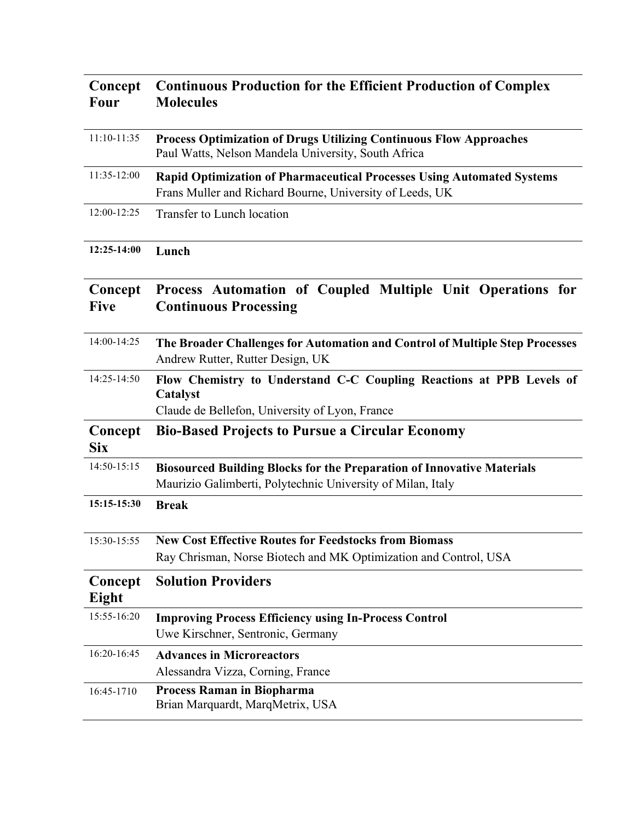| Concept<br><b>Four</b> | <b>Continuous Production for the Efficient Production of Complex</b><br><b>Molecules</b>                                                     |
|------------------------|----------------------------------------------------------------------------------------------------------------------------------------------|
| $11:10-11:35$          | <b>Process Optimization of Drugs Utilizing Continuous Flow Approaches</b><br>Paul Watts, Nelson Mandela University, South Africa             |
| 11:35-12:00            | <b>Rapid Optimization of Pharmaceutical Processes Using Automated Systems</b><br>Frans Muller and Richard Bourne, University of Leeds, UK    |
| 12:00-12:25            | Transfer to Lunch location                                                                                                                   |
| 12:25-14:00            | Lunch                                                                                                                                        |
| Concept<br><b>Five</b> | Process Automation of Coupled Multiple Unit Operations for<br><b>Continuous Processing</b>                                                   |
| 14:00-14:25            | The Broader Challenges for Automation and Control of Multiple Step Processes<br>Andrew Rutter, Rutter Design, UK                             |
| 14:25-14:50            | Flow Chemistry to Understand C-C Coupling Reactions at PPB Levels of<br>Catalyst<br>Claude de Bellefon, University of Lyon, France           |
| Concept<br><b>Six</b>  | <b>Bio-Based Projects to Pursue a Circular Economy</b>                                                                                       |
| 14:50-15:15            | <b>Biosourced Building Blocks for the Preparation of Innovative Materials</b><br>Maurizio Galimberti, Polytechnic University of Milan, Italy |
| 15:15-15:30            | <b>Break</b>                                                                                                                                 |
| 15:30-15:55            | <b>New Cost Effective Routes for Feedstocks from Biomass</b><br>Ray Chrisman, Norse Biotech and MK Optimization and Control, USA             |
| Concept<br>Eight       | <b>Solution Providers</b>                                                                                                                    |
| 15:55-16:20            | <b>Improving Process Efficiency using In-Process Control</b><br>Uwe Kirschner, Sentronic, Germany                                            |
| 16:20-16:45            | <b>Advances in Microreactors</b><br>Alessandra Vizza, Corning, France                                                                        |
| 16:45-1710             | <b>Process Raman in Biopharma</b><br>Brian Marquardt, MarqMetrix, USA                                                                        |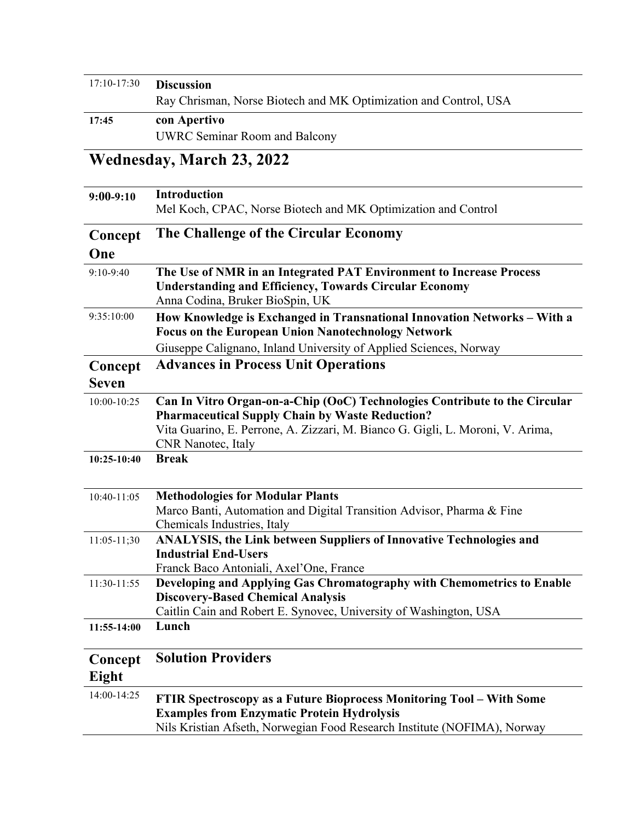| $17:10-17:30$ | <b>Discussion</b>                                                |
|---------------|------------------------------------------------------------------|
|               | Ray Chrisman, Norse Biotech and MK Optimization and Control, USA |
| 17:45         | con Apertivo                                                     |
|               | <b>UWRC Seminar Room and Balcony</b>                             |

# **Wednesday, March 23, 2022**

| $9:00-9:10$     | <b>Introduction</b>                                                            |
|-----------------|--------------------------------------------------------------------------------|
|                 | Mel Koch, CPAC, Norse Biotech and MK Optimization and Control                  |
| Concept         | The Challenge of the Circular Economy                                          |
| One             |                                                                                |
| 9:10-9:40       | The Use of NMR in an Integrated PAT Environment to Increase Process            |
|                 | <b>Understanding and Efficiency, Towards Circular Economy</b>                  |
|                 | Anna Codina, Bruker BioSpin, UK                                                |
| 9:35:10:00      | How Knowledge is Exchanged in Transnational Innovation Networks – With a       |
|                 | <b>Focus on the European Union Nanotechnology Network</b>                      |
|                 | Giuseppe Calignano, Inland University of Applied Sciences, Norway              |
| Concept         | <b>Advances in Process Unit Operations</b>                                     |
| <b>Seven</b>    |                                                                                |
| 10:00-10:25     | Can In Vitro Organ-on-a-Chip (OoC) Technologies Contribute to the Circular     |
|                 | <b>Pharmaceutical Supply Chain by Waste Reduction?</b>                         |
|                 | Vita Guarino, E. Perrone, A. Zizzari, M. Bianco G. Gigli, L. Moroni, V. Arima, |
|                 | <b>CNR</b> Nanotec, Italy                                                      |
| 10:25-10:40     | <b>Break</b>                                                                   |
|                 |                                                                                |
| 10:40-11:05     | <b>Methodologies for Modular Plants</b>                                        |
|                 | Marco Banti, Automation and Digital Transition Advisor, Pharma & Fine          |
|                 | Chemicals Industries, Italy                                                    |
| $11:05 - 11;30$ | ANALYSIS, the Link between Suppliers of Innovative Technologies and            |
|                 | <b>Industrial End-Users</b>                                                    |
|                 | Franck Baco Antoniali, Axel'One, France                                        |
| 11:30-11:55     | Developing and Applying Gas Chromatography with Chemometrics to Enable         |
|                 | <b>Discovery-Based Chemical Analysis</b>                                       |
|                 | Caitlin Cain and Robert E. Synovec, University of Washington, USA              |
| 11:55-14:00     | Lunch                                                                          |
| Concept         | <b>Solution Providers</b>                                                      |
| Eight           |                                                                                |
| 14:00-14:25     | FTIR Spectroscopy as a Future Bioprocess Monitoring Tool – With Some           |
|                 | <b>Examples from Enzymatic Protein Hydrolysis</b>                              |
|                 | Nils Kristian Afseth, Norwegian Food Research Institute (NOFIMA), Norway       |